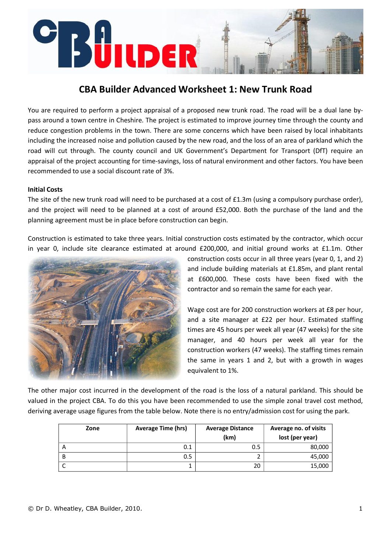# ÜILDER

# **CBA Builder Advanced Worksheet 1: New Trunk Road**

You are required to perform a project appraisal of a proposed new trunk road. The road will be a dual lane by‐ pass around a town centre in Cheshire. The project is estimated to improve journey time through the county and reduce congestion problems in the town. There are some concerns which have been raised by local inhabitants including the increased noise and pollution caused by the new road, and the loss of an area of parkland which the road will cut through. The county council and UK Government's Department for Transport (DfT) require an appraisal of the project accounting for time‐savings, loss of natural environment and other factors. You have been recommended to use a social discount rate of 3%.

## **Initial Costs**

The site of the new trunk road will need to be purchased at a cost of £1.3m (using a compulsory purchase order), and the project will need to be planned at a cost of around £52,000. Both the purchase of the land and the planning agreement must be in place before construction can begin.

Construction is estimated to take three years. Initial construction costs estimated by the contractor, which occur in year 0, include site clearance estimated at around £200,000, and initial ground works at £1.1m. Other



construction costs occur in all three years (year 0, 1, and 2) and include building materials at £1.85m, and plant rental at £600,000. These costs have been fixed with the contractor and so remain the same for each year.

Wage cost are for 200 construction workers at £8 per hour, and a site manager at £22 per hour. Estimated staffing times are 45 hours per week all year (47 weeks) for the site manager, and 40 hours per week all year for the construction workers (47 weeks). The staffing times remain the same in years 1 and 2, but with a growth in wages equivalent to 1%.

The other major cost incurred in the development of the road is the loss of a natural parkland. This should be valued in the project CBA. To do this you have been recommended to use the simple zonal travel cost method, deriving average usage figures from the table below. Note there is no entry/admission cost for using the park.

| Zone | <b>Average Time (hrs)</b> | <b>Average Distance</b> | Average no. of visits |
|------|---------------------------|-------------------------|-----------------------|
|      |                           | (km)                    | lost (per year)       |
|      | 0.1                       | 0.5                     | 80,000                |
| B    | 0.5                       |                         | 45,000                |
|      |                           | 20                      | 15,000                |